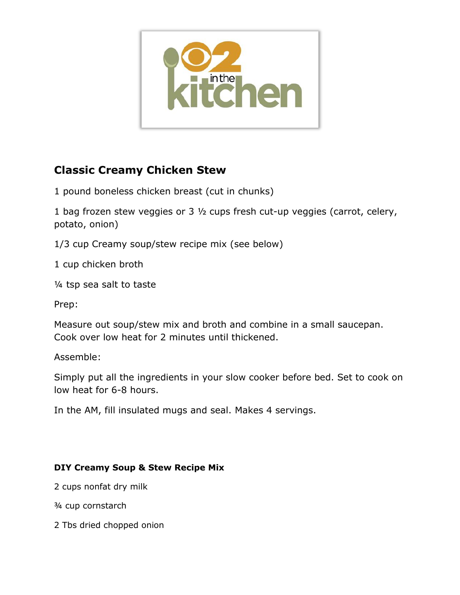

# **Classic Creamy Chicken Stew**

1 pound boneless chicken breast (cut in chunks)

1 bag frozen stew veggies or 3 ½ cups fresh cut-up veggies (carrot, celery, potato, onion)

1/3 cup Creamy soup/stew recipe mix (see below)

1 cup chicken broth

¼ tsp sea salt to taste

Prep:

Measure out soup/stew mix and broth and combine in a small saucepan. Cook over low heat for 2 minutes until thickened.

Assemble:

Simply put all the ingredients in your slow cooker before bed. Set to cook on low heat for 6-8 hours.

In the AM, fill insulated mugs and seal. Makes 4 servings.

### **DIY Creamy Soup & Stew Recipe Mix**

2 cups nonfat dry milk

¾ cup cornstarch

2 Tbs dried chopped onion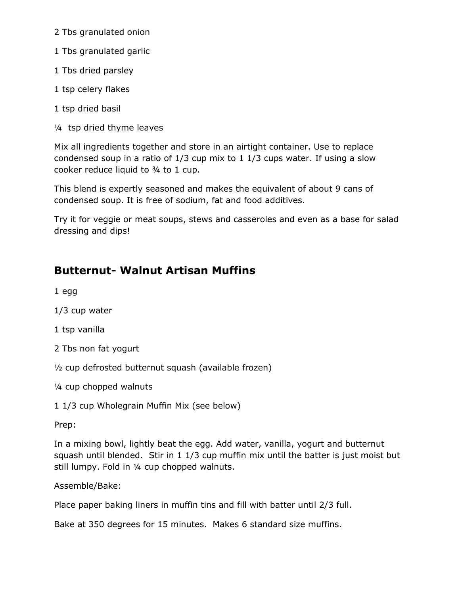2 Tbs granulated onion

- 1 Tbs granulated garlic
- 1 Tbs dried parsley
- 1 tsp celery flakes
- 1 tsp dried basil
- ¼ tsp dried thyme leaves

Mix all ingredients together and store in an airtight container. Use to replace condensed soup in a ratio of 1/3 cup mix to 1 1/3 cups water. If using a slow cooker reduce liquid to ¾ to 1 cup.

This blend is expertly seasoned and makes the equivalent of about 9 cans of condensed soup. It is free of sodium, fat and food additives.

Try it for veggie or meat soups, stews and casseroles and even as a base for salad dressing and dips!

## **Butternut- Walnut Artisan Muffins**

1 egg

1/3 cup water

1 tsp vanilla

2 Tbs non fat yogurt

½ cup defrosted butternut squash (available frozen)

¼ cup chopped walnuts

1 1/3 cup Wholegrain Muffin Mix (see below)

Prep:

In a mixing bowl, lightly beat the egg. Add water, vanilla, yogurt and butternut squash until blended. Stir in 1 1/3 cup muffin mix until the batter is just moist but still lumpy. Fold in ¼ cup chopped walnuts.

#### Assemble/Bake:

Place paper baking liners in muffin tins and fill with batter until 2/3 full.

Bake at 350 degrees for 15 minutes. Makes 6 standard size muffins.